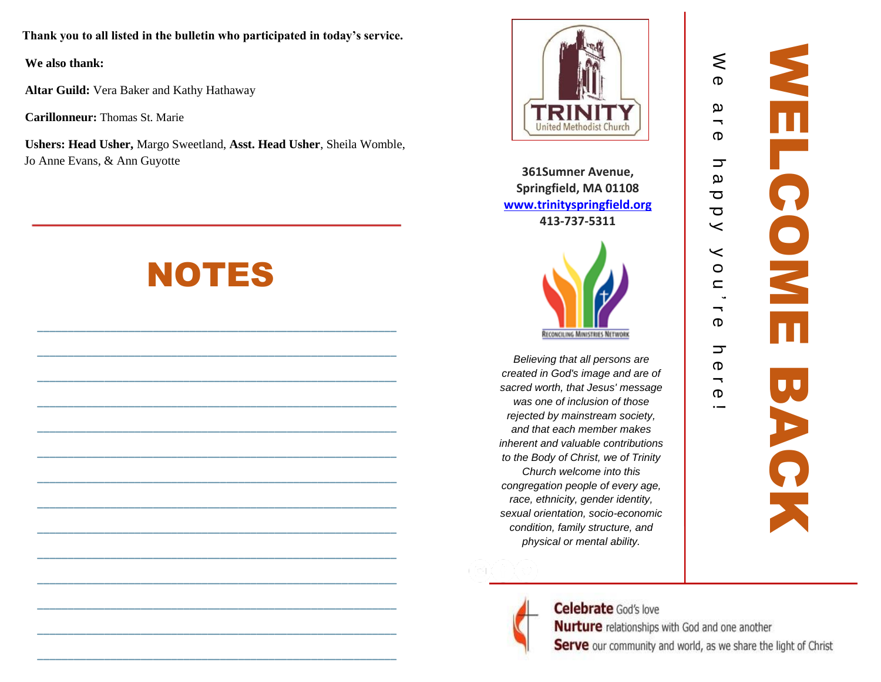**Thank you to all listed in the bulletin who participated in today's service.**

**We also thank:**

**Altar Guild:** Vera Baker and Kathy Hathaway

**Carillonneur:** Thomas St. Marie

**Ushers: Head Usher,** Margo Sweetland, **Asst. Head Usher**, Sheila Womble, Jo Anne Evans, & Ann Guyotte

# NOTES

**\_\_\_\_\_\_\_\_\_\_\_\_\_\_\_\_\_\_\_\_\_\_\_\_\_\_\_\_\_\_\_\_\_\_\_\_\_\_\_\_\_\_\_\_\_\_\_\_\_\_\_\_\_\_\_\_\_\_\_**

**\_\_\_\_\_\_\_\_\_\_\_\_\_\_\_\_\_\_\_\_\_\_\_\_\_\_\_\_\_\_\_\_\_\_\_\_\_\_\_\_\_\_\_\_\_\_\_\_\_\_\_\_\_\_\_\_\_\_\_**

**\_\_\_\_\_\_\_\_\_\_\_\_\_\_\_\_\_\_\_\_\_\_\_\_\_\_\_\_\_\_\_\_\_\_\_\_\_\_\_\_\_\_\_\_\_\_\_\_\_\_\_\_\_\_\_\_\_\_\_**

**\_\_\_\_\_\_\_\_\_\_\_\_\_\_\_\_\_\_\_\_\_\_\_\_\_\_\_\_\_\_\_\_\_\_\_\_\_\_\_\_\_\_\_\_\_\_\_\_\_\_\_\_\_\_\_\_\_\_\_**

**\_\_\_\_\_\_\_\_\_\_\_\_\_\_\_\_\_\_\_\_\_\_\_\_\_\_\_\_\_\_\_\_\_\_\_\_\_\_\_\_\_\_\_\_\_\_\_\_\_\_\_\_\_\_\_\_\_\_\_**

**\_\_\_\_\_\_\_\_\_\_\_\_\_\_\_\_\_\_\_\_\_\_\_\_\_\_\_\_\_\_\_\_\_\_\_\_\_\_\_\_\_\_\_\_\_\_\_\_\_\_\_\_\_\_\_\_\_\_\_**

**\_\_\_\_\_\_\_\_\_\_\_\_\_\_\_\_\_\_\_\_\_\_\_\_\_\_\_\_\_\_\_\_\_\_\_\_\_\_\_\_\_\_\_\_\_\_\_\_\_\_\_\_\_\_\_\_\_\_\_**

**\_\_\_\_\_\_\_\_\_\_\_\_\_\_\_\_\_\_\_\_\_\_\_\_\_\_\_\_\_\_\_\_\_\_\_\_\_\_\_\_\_\_\_\_\_\_\_\_\_\_\_\_\_\_\_\_\_\_\_**

**\_\_\_\_\_\_\_\_\_\_\_\_\_\_\_\_\_\_\_\_\_\_\_\_\_\_\_\_\_\_\_\_\_\_\_\_\_\_\_\_\_\_\_\_\_\_\_\_\_\_\_\_\_\_\_\_\_\_\_**

**\_\_\_\_\_\_\_\_\_\_\_\_\_\_\_\_\_\_\_\_\_\_\_\_\_\_\_\_\_\_\_\_\_\_\_\_\_\_\_\_\_\_\_\_\_\_\_\_\_\_\_\_\_\_\_\_\_\_\_**

**\_\_\_\_\_\_\_\_\_\_\_\_\_\_\_\_\_\_\_\_\_\_\_\_\_\_\_\_\_\_\_\_\_\_\_\_\_\_\_\_\_\_\_\_\_\_\_\_\_\_\_\_\_\_\_\_\_\_\_**

**\_\_\_\_\_\_\_\_\_\_\_\_\_\_\_\_\_\_\_\_\_\_\_\_\_\_\_\_\_\_\_\_\_\_\_\_\_\_\_\_\_\_\_\_\_\_\_\_\_\_\_\_\_\_\_\_\_\_\_**

**\_\_\_\_\_\_\_\_\_\_\_\_\_\_\_\_\_\_\_\_\_\_\_\_\_\_\_\_\_\_\_\_\_\_\_\_\_\_\_\_\_\_\_\_\_\_\_\_\_\_\_\_\_\_\_\_\_\_\_**

**\_\_\_\_\_\_\_\_\_\_\_\_\_\_\_\_\_\_\_\_\_\_\_\_\_\_\_\_\_\_\_\_\_\_\_\_\_\_\_\_\_\_\_\_\_\_\_\_\_\_\_\_\_\_\_\_\_\_\_**



**361Sumner Ave nue, Springfield, MA 01108 [www.trinityspringfield.org](http://www.trinityspringfield.org/) 413 -737 -5311**



*Believing that all persons are created in God's image and are of sacred worth, that Jesus' message was one of inclusion of those rejected by mainstream society, and that each member makes inherent and valuable contributions to the Body of Christ, we of Trinity Church welcome into this congregation people of every age, race, ethnicity, gender identity, sexual orientation, socio -economic condition, family structure, and physical or mental ability.*

 $\leq$ 

a r e

h a p p y

y o u

' ገ<br>ወ

h e r e !



**Celebrate** God's love **Nurture** relationships with God and one another Serve our community and world, as we share the light of Christ